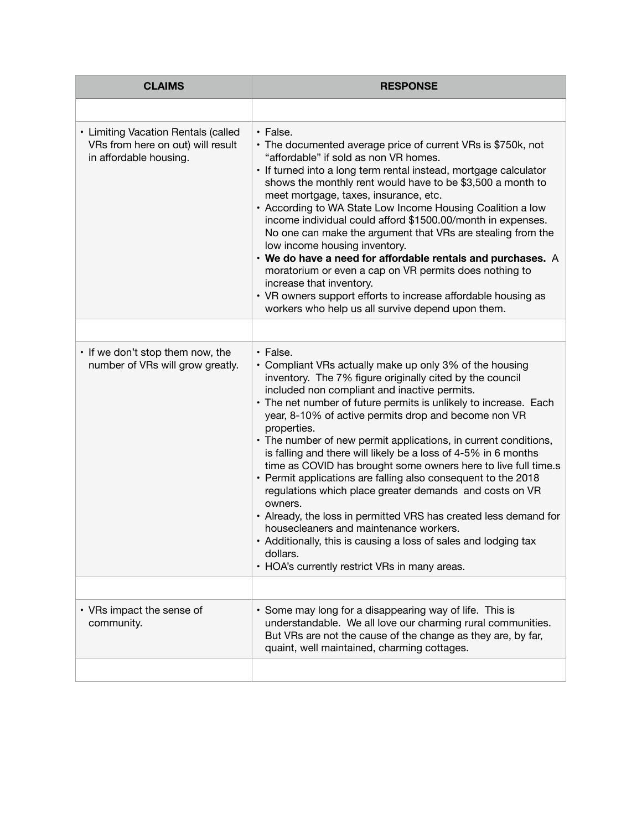| <b>CLAIMS</b>                                                                                      | <b>RESPONSE</b>                                                                                                                                                                                                                                                                                                                                                                                                                                                                                                                                                                                                                                                                                                                                                                                                                                                                                                        |
|----------------------------------------------------------------------------------------------------|------------------------------------------------------------------------------------------------------------------------------------------------------------------------------------------------------------------------------------------------------------------------------------------------------------------------------------------------------------------------------------------------------------------------------------------------------------------------------------------------------------------------------------------------------------------------------------------------------------------------------------------------------------------------------------------------------------------------------------------------------------------------------------------------------------------------------------------------------------------------------------------------------------------------|
|                                                                                                    |                                                                                                                                                                                                                                                                                                                                                                                                                                                                                                                                                                                                                                                                                                                                                                                                                                                                                                                        |
| • Limiting Vacation Rentals (called<br>VRs from here on out) will result<br>in affordable housing. | · False.<br>• The documented average price of current VRs is \$750k, not<br>"affordable" if sold as non VR homes.<br>· If turned into a long term rental instead, mortgage calculator<br>shows the monthly rent would have to be \$3,500 a month to<br>meet mortgage, taxes, insurance, etc.<br>• According to WA State Low Income Housing Coalition a low<br>income individual could afford \$1500.00/month in expenses.<br>No one can make the argument that VRs are stealing from the<br>low income housing inventory.<br>• We do have a need for affordable rentals and purchases. A<br>moratorium or even a cap on VR permits does nothing to<br>increase that inventory.<br>• VR owners support efforts to increase affordable housing as<br>workers who help us all survive depend upon them.                                                                                                                   |
|                                                                                                    |                                                                                                                                                                                                                                                                                                                                                                                                                                                                                                                                                                                                                                                                                                                                                                                                                                                                                                                        |
| • If we don't stop them now, the<br>number of VRs will grow greatly.                               | • False.<br>• Compliant VRs actually make up only 3% of the housing<br>inventory. The 7% figure originally cited by the council<br>included non compliant and inactive permits.<br>• The net number of future permits is unlikely to increase. Each<br>year, 8-10% of active permits drop and become non VR<br>properties.<br>• The number of new permit applications, in current conditions,<br>is falling and there will likely be a loss of 4-5% in 6 months<br>time as COVID has brought some owners here to live full time.s<br>• Permit applications are falling also consequent to the 2018<br>regulations which place greater demands and costs on VR<br>owners.<br>• Already, the loss in permitted VRS has created less demand for<br>housecleaners and maintenance workers.<br>• Additionally, this is causing a loss of sales and lodging tax<br>dollars.<br>• HOA's currently restrict VRs in many areas. |
|                                                                                                    |                                                                                                                                                                                                                                                                                                                                                                                                                                                                                                                                                                                                                                                                                                                                                                                                                                                                                                                        |
| • VRs impact the sense of<br>community.                                                            | • Some may long for a disappearing way of life. This is<br>understandable. We all love our charming rural communities.<br>But VRs are not the cause of the change as they are, by far,<br>quaint, well maintained, charming cottages.                                                                                                                                                                                                                                                                                                                                                                                                                                                                                                                                                                                                                                                                                  |
|                                                                                                    |                                                                                                                                                                                                                                                                                                                                                                                                                                                                                                                                                                                                                                                                                                                                                                                                                                                                                                                        |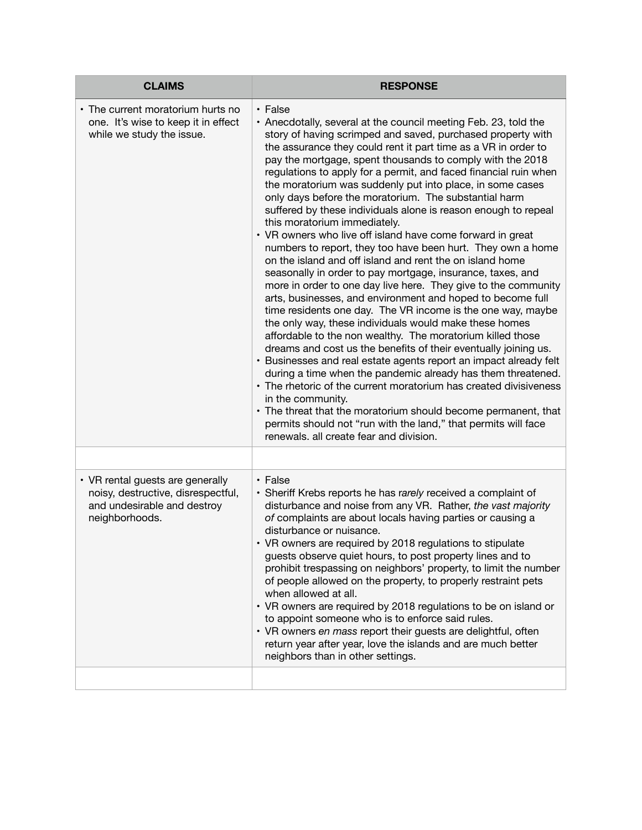| <b>CLAIMS</b>                                                                                                           | <b>RESPONSE</b>                                                                                                                                                                                                                                                                                                                                                                                                                                                                                                                                                                                                                                                                                                                                                                                                                                                                                                                                                                                                                                                                                                                                                                                                                                                                                                                                                                                                                                                                                                                                                                                                                     |
|-------------------------------------------------------------------------------------------------------------------------|-------------------------------------------------------------------------------------------------------------------------------------------------------------------------------------------------------------------------------------------------------------------------------------------------------------------------------------------------------------------------------------------------------------------------------------------------------------------------------------------------------------------------------------------------------------------------------------------------------------------------------------------------------------------------------------------------------------------------------------------------------------------------------------------------------------------------------------------------------------------------------------------------------------------------------------------------------------------------------------------------------------------------------------------------------------------------------------------------------------------------------------------------------------------------------------------------------------------------------------------------------------------------------------------------------------------------------------------------------------------------------------------------------------------------------------------------------------------------------------------------------------------------------------------------------------------------------------------------------------------------------------|
| • The current moratorium hurts no<br>one. It's wise to keep it in effect<br>while we study the issue.                   | • False<br>• Anecdotally, several at the council meeting Feb. 23, told the<br>story of having scrimped and saved, purchased property with<br>the assurance they could rent it part time as a VR in order to<br>pay the mortgage, spent thousands to comply with the 2018<br>regulations to apply for a permit, and faced financial ruin when<br>the moratorium was suddenly put into place, in some cases<br>only days before the moratorium. The substantial harm<br>suffered by these individuals alone is reason enough to repeal<br>this moratorium immediately.<br>• VR owners who live off island have come forward in great<br>numbers to report, they too have been hurt. They own a home<br>on the island and off island and rent the on island home<br>seasonally in order to pay mortgage, insurance, taxes, and<br>more in order to one day live here. They give to the community<br>arts, businesses, and environment and hoped to become full<br>time residents one day. The VR income is the one way, maybe<br>the only way, these individuals would make these homes<br>affordable to the non wealthy. The moratorium killed those<br>dreams and cost us the benefits of their eventually joining us.<br>• Businesses and real estate agents report an impact already felt<br>during a time when the pandemic already has them threatened.<br>• The rhetoric of the current moratorium has created divisiveness<br>in the community.<br>• The threat that the moratorium should become permanent, that<br>permits should not "run with the land," that permits will face<br>renewals. all create fear and division. |
|                                                                                                                         |                                                                                                                                                                                                                                                                                                                                                                                                                                                                                                                                                                                                                                                                                                                                                                                                                                                                                                                                                                                                                                                                                                                                                                                                                                                                                                                                                                                                                                                                                                                                                                                                                                     |
| • VR rental guests are generally<br>noisy, destructive, disrespectful,<br>and undesirable and destroy<br>neighborhoods. | • False<br>• Sheriff Krebs reports he has rarely received a complaint of<br>disturbance and noise from any VR. Rather, the vast majority<br>of complaints are about locals having parties or causing a<br>disturbance or nuisance.<br>• VR owners are required by 2018 regulations to stipulate<br>guests observe quiet hours, to post property lines and to<br>prohibit trespassing on neighbors' property, to limit the number<br>of people allowed on the property, to properly restraint pets<br>when allowed at all.<br>• VR owners are required by 2018 regulations to be on island or<br>to appoint someone who is to enforce said rules.<br>• VR owners en mass report their guests are delightful, often<br>return year after year, love the islands and are much better<br>neighbors than in other settings.                                                                                                                                                                                                                                                                                                                                                                                                                                                                                                                                                                                                                                                                                                                                                                                                              |
|                                                                                                                         |                                                                                                                                                                                                                                                                                                                                                                                                                                                                                                                                                                                                                                                                                                                                                                                                                                                                                                                                                                                                                                                                                                                                                                                                                                                                                                                                                                                                                                                                                                                                                                                                                                     |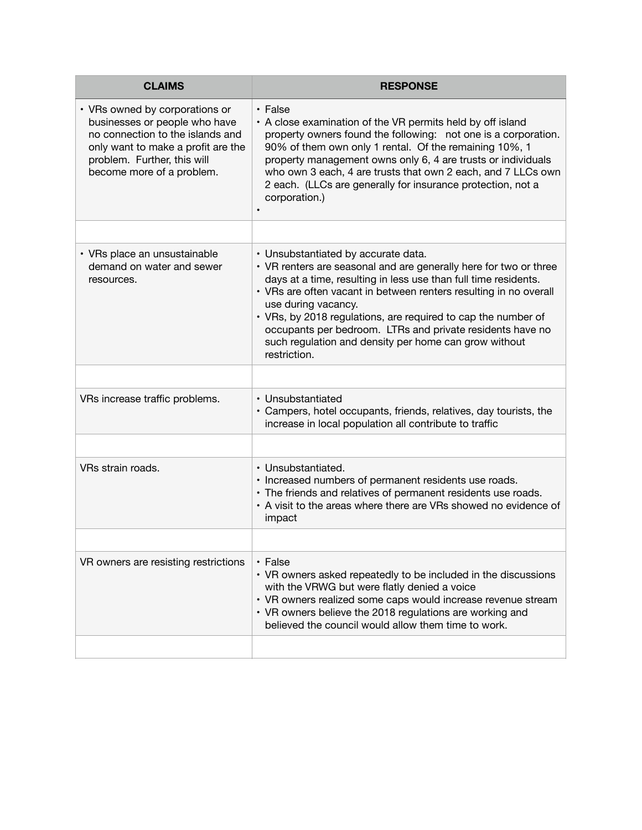| <b>CLAIMS</b>                                                                                                                                                                                         | <b>RESPONSE</b>                                                                                                                                                                                                                                                                                                                                                                                                                                                                |
|-------------------------------------------------------------------------------------------------------------------------------------------------------------------------------------------------------|--------------------------------------------------------------------------------------------------------------------------------------------------------------------------------------------------------------------------------------------------------------------------------------------------------------------------------------------------------------------------------------------------------------------------------------------------------------------------------|
| • VRs owned by corporations or<br>businesses or people who have<br>no connection to the islands and<br>only want to make a profit are the<br>problem. Further, this will<br>become more of a problem. | $\cdot$ False<br>• A close examination of the VR permits held by off island<br>property owners found the following: not one is a corporation.<br>90% of them own only 1 rental. Of the remaining 10%, 1<br>property management owns only 6, 4 are trusts or individuals<br>who own 3 each, 4 are trusts that own 2 each, and 7 LLCs own<br>2 each. (LLCs are generally for insurance protection, not a<br>corporation.)                                                        |
|                                                                                                                                                                                                       |                                                                                                                                                                                                                                                                                                                                                                                                                                                                                |
| • VRs place an unsustainable<br>demand on water and sewer<br>resources.                                                                                                                               | • Unsubstantiated by accurate data.<br>• VR renters are seasonal and are generally here for two or three<br>days at a time, resulting in less use than full time residents.<br>• VRs are often vacant in between renters resulting in no overall<br>use during vacancy.<br>• VRs, by 2018 regulations, are required to cap the number of<br>occupants per bedroom. LTRs and private residents have no<br>such regulation and density per home can grow without<br>restriction. |
|                                                                                                                                                                                                       |                                                                                                                                                                                                                                                                                                                                                                                                                                                                                |
| VRs increase traffic problems.                                                                                                                                                                        | • Unsubstantiated<br>• Campers, hotel occupants, friends, relatives, day tourists, the<br>increase in local population all contribute to traffic                                                                                                                                                                                                                                                                                                                               |
|                                                                                                                                                                                                       |                                                                                                                                                                                                                                                                                                                                                                                                                                                                                |
| VRs strain roads.                                                                                                                                                                                     | • Unsubstantiated.<br>· Increased numbers of permanent residents use roads.<br>• The friends and relatives of permanent residents use roads.<br>• A visit to the areas where there are VRs showed no evidence of<br>impact                                                                                                                                                                                                                                                     |
|                                                                                                                                                                                                       |                                                                                                                                                                                                                                                                                                                                                                                                                                                                                |
| VR owners are resisting restrictions                                                                                                                                                                  | • False<br>• VR owners asked repeatedly to be included in the discussions<br>with the VRWG but were flatly denied a voice<br>• VR owners realized some caps would increase revenue stream<br>• VR owners believe the 2018 regulations are working and<br>believed the council would allow them time to work.                                                                                                                                                                   |
|                                                                                                                                                                                                       |                                                                                                                                                                                                                                                                                                                                                                                                                                                                                |